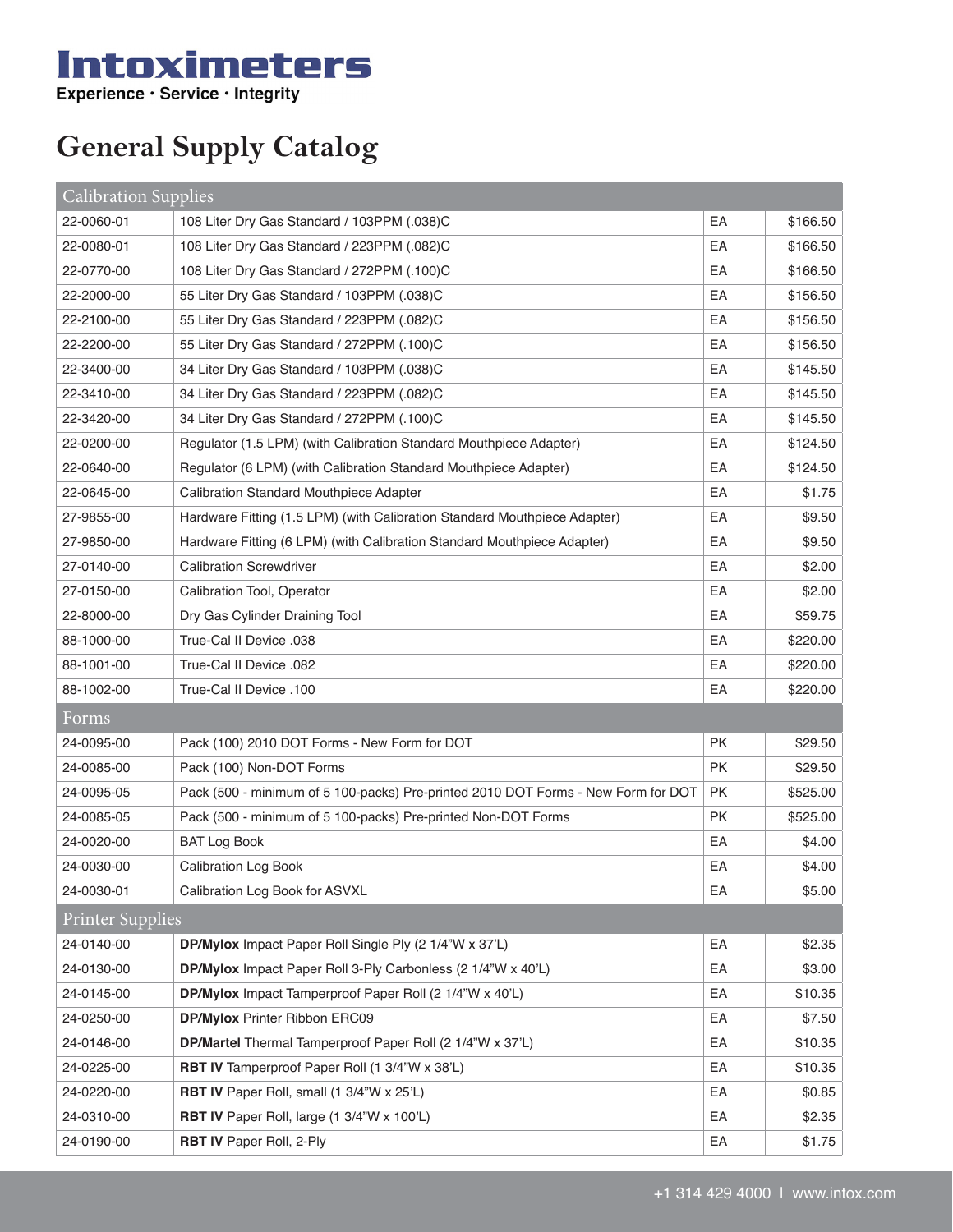## Intoximeters

**General Supply Catalog**

| Calibration Supplies    |                                                                                   |           |          |  |  |
|-------------------------|-----------------------------------------------------------------------------------|-----------|----------|--|--|
| 22-0060-01              | 108 Liter Dry Gas Standard / 103PPM (.038)C                                       | EA        | \$166.50 |  |  |
| 22-0080-01              | 108 Liter Dry Gas Standard / 223PPM (.082)C                                       | EA        | \$166.50 |  |  |
| 22-0770-00              | 108 Liter Dry Gas Standard / 272PPM (.100)C                                       | EA        | \$166.50 |  |  |
| 22-2000-00              | 55 Liter Dry Gas Standard / 103PPM (.038)C                                        | EA        | \$156.50 |  |  |
| 22-2100-00              | 55 Liter Dry Gas Standard / 223PPM (.082)C                                        | EA        | \$156.50 |  |  |
| 22-2200-00              | 55 Liter Dry Gas Standard / 272PPM (.100)C                                        | EA        | \$156.50 |  |  |
| 22-3400-00              | 34 Liter Dry Gas Standard / 103PPM (.038)C                                        | EA        | \$145.50 |  |  |
| 22-3410-00              | 34 Liter Dry Gas Standard / 223PPM (.082)C                                        | EA        | \$145.50 |  |  |
| 22-3420-00              | 34 Liter Dry Gas Standard / 272PPM (.100)C                                        | EA        | \$145.50 |  |  |
| 22-0200-00              | Regulator (1.5 LPM) (with Calibration Standard Mouthpiece Adapter)                | EA        | \$124.50 |  |  |
| 22-0640-00              | Regulator (6 LPM) (with Calibration Standard Mouthpiece Adapter)                  | EA        | \$124.50 |  |  |
| 22-0645-00              | <b>Calibration Standard Mouthpiece Adapter</b>                                    | EA        | \$1.75   |  |  |
| 27-9855-00              | Hardware Fitting (1.5 LPM) (with Calibration Standard Mouthpiece Adapter)         | EA        | \$9.50   |  |  |
| 27-9850-00              | Hardware Fitting (6 LPM) (with Calibration Standard Mouthpiece Adapter)           | EA        | \$9.50   |  |  |
| 27-0140-00              | <b>Calibration Screwdriver</b>                                                    | EA        | \$2.00   |  |  |
| 27-0150-00              | <b>Calibration Tool, Operator</b>                                                 | EA        | \$2.00   |  |  |
| 22-8000-00              | Dry Gas Cylinder Draining Tool                                                    | EA        | \$59.75  |  |  |
| 88-1000-00              | True-Cal II Device .038                                                           | EA        | \$220.00 |  |  |
| 88-1001-00              | True-Cal II Device .082                                                           | EA        | \$220.00 |  |  |
| 88-1002-00              | True-Cal II Device .100                                                           | EA        | \$220.00 |  |  |
| Forms                   |                                                                                   |           |          |  |  |
| 24-0095-00              | Pack (100) 2010 DOT Forms - New Form for DOT                                      | <b>PK</b> | \$29.50  |  |  |
| 24-0085-00              | Pack (100) Non-DOT Forms                                                          | <b>PK</b> | \$29.50  |  |  |
| 24-0095-05              | Pack (500 - minimum of 5 100-packs) Pre-printed 2010 DOT Forms - New Form for DOT | <b>PK</b> | \$525.00 |  |  |
| 24-0085-05              | Pack (500 - minimum of 5 100-packs) Pre-printed Non-DOT Forms                     | <b>PK</b> | \$525.00 |  |  |
| 24-0020-00              | <b>BAT Log Book</b>                                                               | EA        | \$4.00   |  |  |
| 24-0030-00              | <b>Calibration Log Book</b>                                                       | EA        | \$4.00   |  |  |
| 24-0030-01              | Calibration Log Book for ASVXL                                                    | EA        | \$5.00   |  |  |
| <b>Printer Supplies</b> |                                                                                   |           |          |  |  |
| 24-0140-00              | DP/Mylox Impact Paper Roll Single Ply (2 1/4"W x 37'L)                            | EA        | \$2.35   |  |  |
| 24-0130-00              | DP/Mylox Impact Paper Roll 3-Ply Carbonless (2 1/4"W x 40'L)                      | EA        | \$3.00   |  |  |
| 24-0145-00              | DP/Mylox Impact Tamperproof Paper Roll (2 1/4"W x 40'L)                           | EA        | \$10.35  |  |  |
| 24-0250-00              | <b>DP/Mylox Printer Ribbon ERC09</b>                                              | EA        | \$7.50   |  |  |
| 24-0146-00              | DP/Martel Thermal Tamperproof Paper Roll (2 1/4"W x 37'L)                         | EA        | \$10.35  |  |  |
| 24-0225-00              | RBT IV Tamperproof Paper Roll (1 3/4"W x 38'L)                                    | EA        | \$10.35  |  |  |
| 24-0220-00              | <b>RBT IV</b> Paper Roll, small (1 3/4"W x 25'L)                                  | EA        | \$0.85   |  |  |
| 24-0310-00              | <b>RBT IV</b> Paper Roll, large (1 3/4"W x 100'L)                                 | EA        | \$2.35   |  |  |
| 24-0190-00              | <b>RBT IV Paper Roll, 2-Ply</b>                                                   | EA        | \$1.75   |  |  |
|                         |                                                                                   |           |          |  |  |